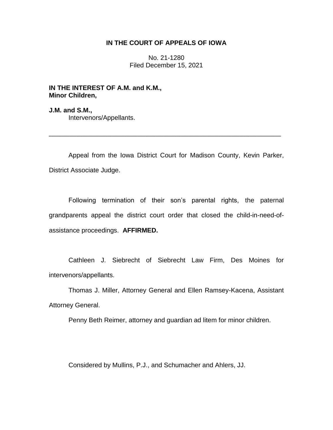## **IN THE COURT OF APPEALS OF IOWA**

No. 21-1280 Filed December 15, 2021

**IN THE INTEREST OF A.M. and K.M., Minor Children,**

**J.M. and S.M.,** Intervenors/Appellants.

Appeal from the Iowa District Court for Madison County, Kevin Parker, District Associate Judge.

\_\_\_\_\_\_\_\_\_\_\_\_\_\_\_\_\_\_\_\_\_\_\_\_\_\_\_\_\_\_\_\_\_\_\_\_\_\_\_\_\_\_\_\_\_\_\_\_\_\_\_\_\_\_\_\_\_\_\_\_\_\_\_\_

Following termination of their son's parental rights, the paternal grandparents appeal the district court order that closed the child-in-need-ofassistance proceedings. **AFFIRMED.**

Cathleen J. Siebrecht of Siebrecht Law Firm, Des Moines for intervenors/appellants.

Thomas J. Miller, Attorney General and Ellen Ramsey-Kacena, Assistant Attorney General.

Penny Beth Reimer, attorney and guardian ad litem for minor children.

Considered by Mullins, P.J., and Schumacher and Ahlers, JJ.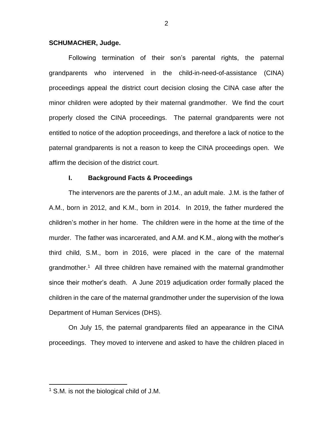### **SCHUMACHER, Judge.**

Following termination of their son's parental rights, the paternal grandparents who intervened in the child-in-need-of-assistance (CINA) proceedings appeal the district court decision closing the CINA case after the minor children were adopted by their maternal grandmother. We find the court properly closed the CINA proceedings. The paternal grandparents were not entitled to notice of the adoption proceedings, and therefore a lack of notice to the paternal grandparents is not a reason to keep the CINA proceedings open. We affirm the decision of the district court.

### **I. Background Facts & Proceedings**

The intervenors are the parents of J.M., an adult male. J.M. is the father of A.M., born in 2012, and K.M., born in 2014. In 2019, the father murdered the children's mother in her home. The children were in the home at the time of the murder. The father was incarcerated, and A.M. and K.M., along with the mother's third child, S.M., born in 2016, were placed in the care of the maternal grandmother.<sup>1</sup> All three children have remained with the maternal grandmother since their mother's death. A June 2019 adjudication order formally placed the children in the care of the maternal grandmother under the supervision of the Iowa Department of Human Services (DHS).

On July 15, the paternal grandparents filed an appearance in the CINA proceedings. They moved to intervene and asked to have the children placed in

<sup>&</sup>lt;sup>1</sup> S.M. is not the biological child of J.M.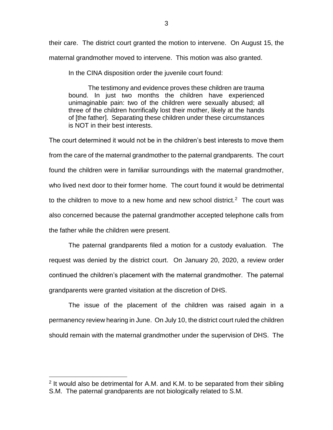their care. The district court granted the motion to intervene. On August 15, the maternal grandmother moved to intervene. This motion was also granted.

In the CINA disposition order the juvenile court found:

The testimony and evidence proves these children are trauma bound. In just two months the children have experienced unimaginable pain: two of the children were sexually abused; all three of the children horrifically lost their mother, likely at the hands of [the father]. Separating these children under these circumstances is NOT in their best interests.

The court determined it would not be in the children's best interests to move them from the care of the maternal grandmother to the paternal grandparents. The court found the children were in familiar surroundings with the maternal grandmother, who lived next door to their former home. The court found it would be detrimental to the children to move to a new home and new school district.<sup>2</sup> The court was also concerned because the paternal grandmother accepted telephone calls from the father while the children were present.

The paternal grandparents filed a motion for a custody evaluation. The request was denied by the district court. On January 20, 2020, a review order continued the children's placement with the maternal grandmother. The paternal grandparents were granted visitation at the discretion of DHS.

The issue of the placement of the children was raised again in a permanency review hearing in June. On July 10, the district court ruled the children should remain with the maternal grandmother under the supervision of DHS. The

 $2$  It would also be detrimental for A.M. and K.M. to be separated from their sibling S.M. The paternal grandparents are not biologically related to S.M.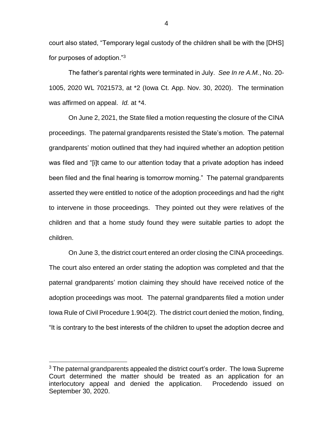court also stated, "Temporary legal custody of the children shall be with the [DHS] for purposes of adoption."<sup>3</sup>

The father's parental rights were terminated in July. *See In re A.M.*, No. 20- 1005, 2020 WL 7021573, at \*2 (Iowa Ct. App. Nov. 30, 2020). The termination was affirmed on appeal. *Id.* at \*4.

On June 2, 2021, the State filed a motion requesting the closure of the CINA proceedings. The paternal grandparents resisted the State's motion. The paternal grandparents' motion outlined that they had inquired whether an adoption petition was filed and "[i]t came to our attention today that a private adoption has indeed been filed and the final hearing is tomorrow morning." The paternal grandparents asserted they were entitled to notice of the adoption proceedings and had the right to intervene in those proceedings. They pointed out they were relatives of the children and that a home study found they were suitable parties to adopt the children.

On June 3, the district court entered an order closing the CINA proceedings. The court also entered an order stating the adoption was completed and that the paternal grandparents' motion claiming they should have received notice of the adoption proceedings was moot. The paternal grandparents filed a motion under Iowa Rule of Civil Procedure 1.904(2). The district court denied the motion, finding, "It is contrary to the best interests of the children to upset the adoption decree and

 $\overline{a}$ 

4

 $3$  The paternal grandparents appealed the district court's order. The Iowa Supreme Court determined the matter should be treated as an application for an interlocutory appeal and denied the application. Procedendo issued on September 30, 2020.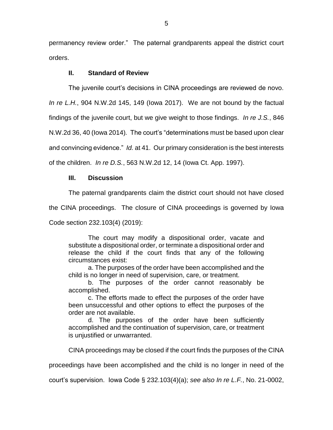permanency review order." The paternal grandparents appeal the district court orders.

# **II. Standard of Review**

The juvenile court's decisions in CINA proceedings are reviewed de novo.

*In re L.H.*, 904 N.W.2d 145, 149 (Iowa 2017). We are not bound by the factual

findings of the juvenile court, but we give weight to those findings. *In re J.S.*, 846

N.W.2d 36, 40 (Iowa 2014)*.* The court's "determinations must be based upon clear

and convincing evidence." *Id.* at 41. Our primary consideration is the best interests

of the children. *In re D.S.*, 563 N.W.2d 12, 14 (Iowa Ct. App. 1997).

## **III. Discussion**

The paternal grandparents claim the district court should not have closed

the CINA proceedings. The closure of CINA proceedings is governed by Iowa

Code section 232.103(4) (2019):

The court may modify a dispositional order, vacate and substitute a dispositional order, or terminate a dispositional order and release the child if the court finds that any of the following circumstances exist:

a. The purposes of the order have been accomplished and the child is no longer in need of supervision, care, or treatment.

b. The purposes of the order cannot reasonably be accomplished.

c. The efforts made to effect the purposes of the order have been unsuccessful and other options to effect the purposes of the order are not available.

d. The purposes of the order have been sufficiently accomplished and the continuation of supervision, care, or treatment is unjustified or unwarranted.

CINA proceedings may be closed if the court finds the purposes of the CINA

proceedings have been accomplished and the child is no longer in need of the

court's supervision. Iowa Code § 232.103(4)(a); *see also In re L.F.*, No. 21-0002,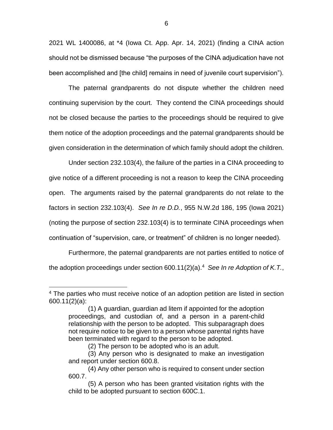2021 WL 1400086, at \*4 (Iowa Ct. App. Apr. 14, 2021) (finding a CINA action should not be dismissed because "the purposes of the CINA adjudication have not been accomplished and [the child] remains in need of juvenile court supervision").

The paternal grandparents do not dispute whether the children need continuing supervision by the court. They contend the CINA proceedings should not be closed because the parties to the proceedings should be required to give them notice of the adoption proceedings and the paternal grandparents should be given consideration in the determination of which family should adopt the children.

Under section 232.103(4), the failure of the parties in a CINA proceeding to give notice of a different proceeding is not a reason to keep the CINA proceeding open. The arguments raised by the paternal grandparents do not relate to the factors in section 232.103(4). *See In re D.D.*, 955 N.W.2d 186, 195 (Iowa 2021) (noting the purpose of section 232.103(4) is to terminate CINA proceedings when continuation of "supervision, care, or treatment" of children is no longer needed).

Furthermore, the paternal grandparents are not parties entitled to notice of the adoption proceedings under section 600.11(2)(a). 4 *See In re Adoption of K.T.*,

<sup>&</sup>lt;sup>4</sup> The parties who must receive notice of an adoption petition are listed in section 600.11(2)(a):

<sup>(1)</sup> A guardian, guardian ad litem if appointed for the adoption proceedings, and custodian of, and a person in a parent-child relationship with the person to be adopted. This subparagraph does not require notice to be given to a person whose parental rights have been terminated with regard to the person to be adopted.

<sup>(2)</sup> The person to be adopted who is an adult.

<sup>(3)</sup> Any person who is designated to make an investigation and report under section 600.8.

<sup>(4)</sup> Any other person who is required to consent under section 600.7.

<sup>(5)</sup> A person who has been granted visitation rights with the child to be adopted pursuant to section 600C.1.